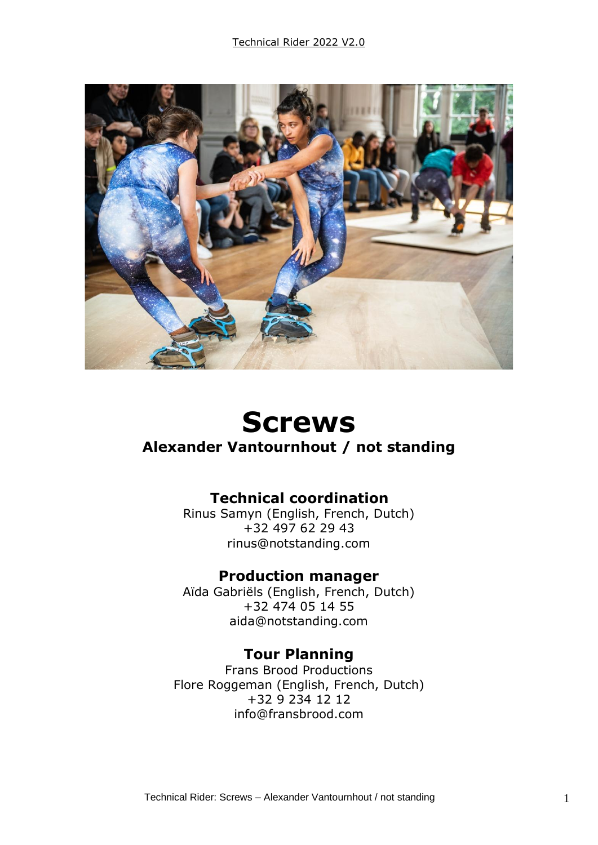

# **Screws**

## **Alexander Vantournhout / not standing**

## **Technical coordination**

Rinus Samyn (English, French, Dutch) +32 497 62 29 43 rinus@notstanding.com

## **Production manager**

Aïda Gabriëls (English, French, Dutch) +32 474 05 14 55 aida@notstanding.com

#### **Tour Planning**

Frans Brood Productions Flore Roggeman (English, French, Dutch) +32 9 234 12 12 info@fransbrood.com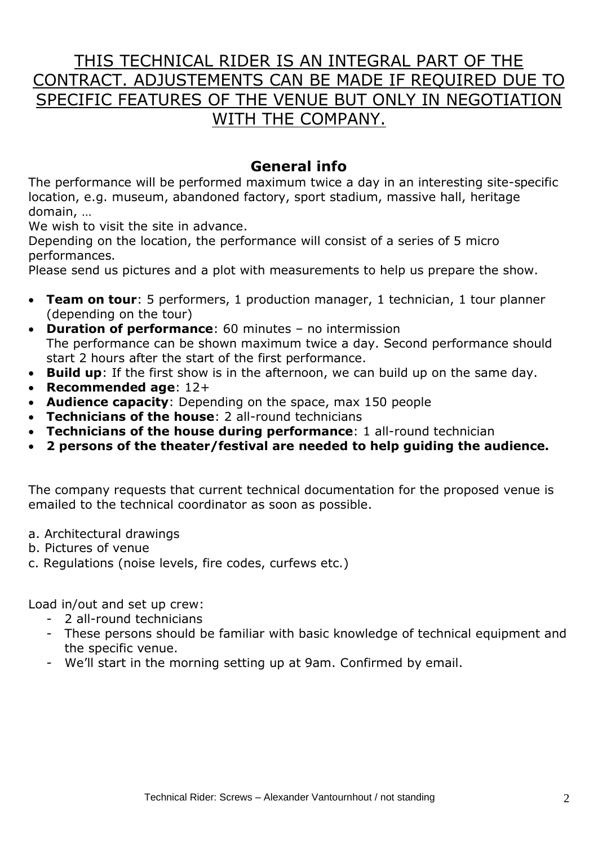# THIS TECHNICAL RIDER IS AN INTEGRAL PART OF THE CONTRACT. ADJUSTEMENTS CAN BE MADE IF REQUIRED DUE TO SPECIFIC FEATURES OF THE VENUE BUT ONLY IN NEGOTIATION WITH THE COMPANY.

## **General info**

The performance will be performed maximum twice a day in an interesting site-specific location, e.g. museum, abandoned factory, sport stadium, massive hall, heritage domain, …

We wish to visit the site in advance.

Depending on the location, the performance will consist of a series of 5 micro performances.

Please send us pictures and a plot with measurements to help us prepare the show.

- **Team on tour**: 5 performers, 1 production manager, 1 technician, 1 tour planner (depending on the tour)
- **Duration of performance**: 60 minutes no intermission The performance can be shown maximum twice a day. Second performance should start 2 hours after the start of the first performance.
- **Build up**: If the first show is in the afternoon, we can build up on the same day.
- **Recommended age**: 12+
- **Audience capacity**: Depending on the space, max 150 people
- **Technicians of the house**: 2 all-round technicians
- **Technicians of the house during performance**: 1 all-round technician
- **2 persons of the theater/festival are needed to help guiding the audience.**

The company requests that current technical documentation for the proposed venue is emailed to the technical coordinator as soon as possible.

- a. Architectural drawings
- b. Pictures of venue
- c. Regulations (noise levels, fire codes, curfews etc.)

Load in/out and set up crew:

- 2 all-round technicians
- These persons should be familiar with basic knowledge of technical equipment and the specific venue.
- We'll start in the morning setting up at 9am. Confirmed by email.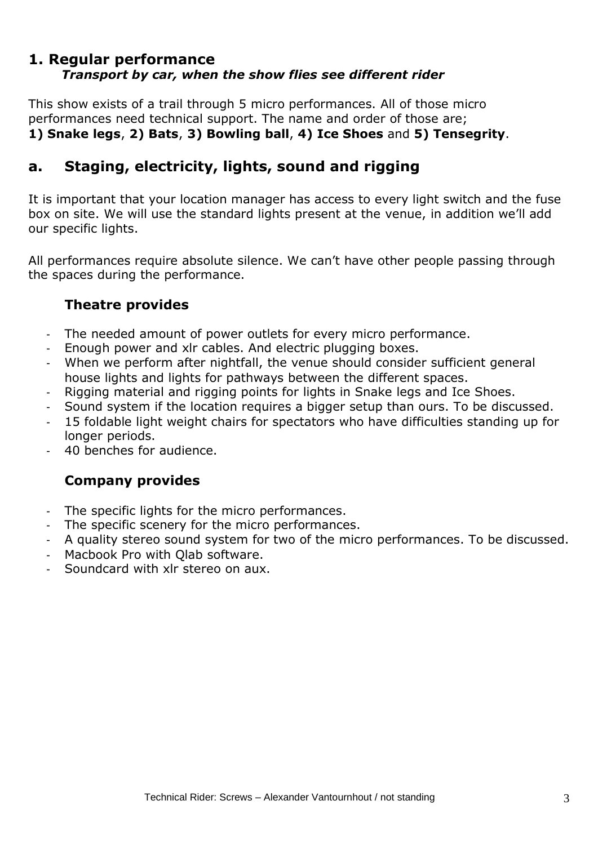#### **1. Regular performance** *Transport by car, when the show flies see different rider*

This show exists of a trail through 5 micro performances. All of those micro performances need technical support. The name and order of those are; **1) Snake legs**, **2) Bats**, **3) Bowling ball**, **4) Ice Shoes** and **5) Tensegrity**.

## **a. Staging, electricity, lights, sound and rigging**

It is important that your location manager has access to every light switch and the fuse box on site. We will use the standard lights present at the venue, in addition we'll add our specific lights.

All performances require absolute silence. We can't have other people passing through the spaces during the performance.

#### **Theatre provides**

- The needed amount of power outlets for every micro performance.
- Enough power and xlr cables. And electric plugging boxes.
- When we perform after nightfall, the venue should consider sufficient general house lights and lights for pathways between the different spaces.
- Rigging material and rigging points for lights in Snake legs and Ice Shoes.
- Sound system if the location requires a bigger setup than ours. To be discussed.
- 15 foldable light weight chairs for spectators who have difficulties standing up for longer periods.
- 40 benches for audience.

#### **Company provides**

- The specific lights for the micro performances.
- The specific scenery for the micro performances.
- A quality stereo sound system for two of the micro performances. To be discussed.
- Macbook Pro with Olab software.
- Soundcard with xlr stereo on aux.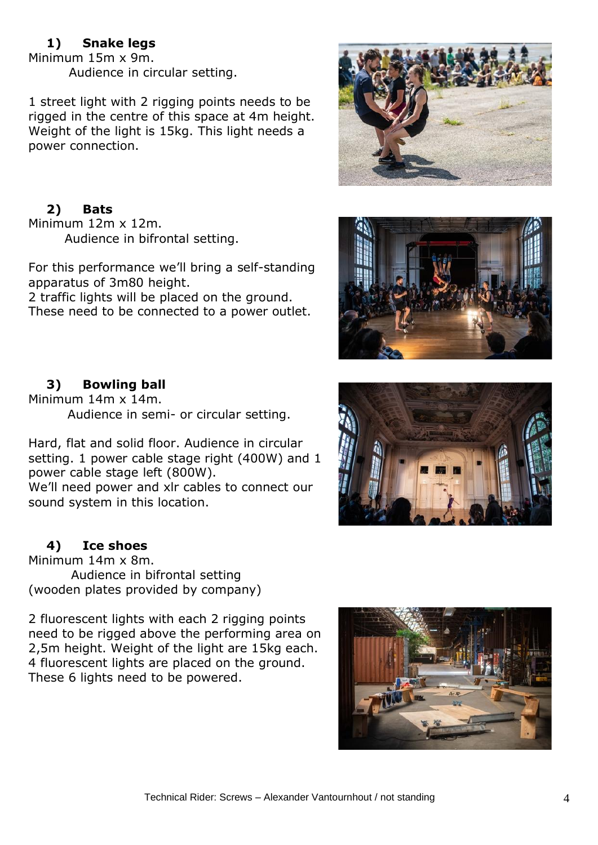#### **1) Snake legs**

Minimum 15m x 9m. Audience in circular setting.

1 street light with 2 rigging points needs to be rigged in the centre of this space at 4m height. Weight of the light is 15kg. This light needs a power connection.

## **2) Bats**

Minimum 12m x 12m. Audience in bifrontal setting.

For this performance we'll bring a self-standing apparatus of 3m80 height.

2 traffic lights will be placed on the ground. These need to be connected to a power outlet.





#### **3) Bowling ball**

Minimum 14m x 14m. Audience in semi- or circular setting.

Hard, flat and solid floor. Audience in circular setting. 1 power cable stage right (400W) and 1 power cable stage left (800W). We'll need power and xlr cables to connect our sound system in this location.

#### **4) Ice shoes**

Minimum 14m x 8m. Audience in bifrontal setting (wooden plates provided by company)

2 fluorescent lights with each 2 rigging points need to be rigged above the performing area on 2,5m height. Weight of the light are 15kg each. 4 fluorescent lights are placed on the ground. These 6 lights need to be powered.



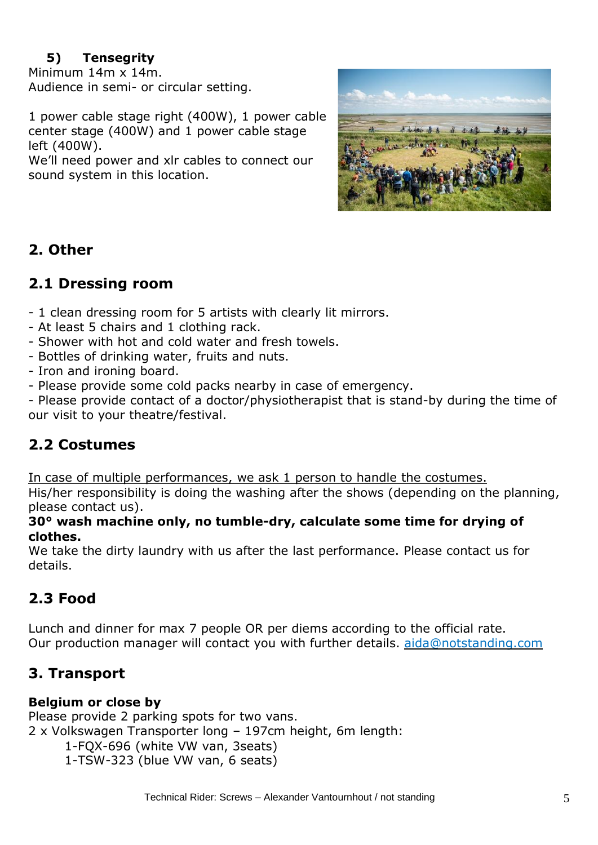## **5) Tensegrity**

Minimum 14m x 14m. Audience in semi- or circular setting.

1 power cable stage right (400W), 1 power cable center stage (400W) and 1 power cable stage left (400W).

We'll need power and xlr cables to connect our sound system in this location.



## **2. Other**

## **2.1 Dressing room**

- 1 clean dressing room for 5 artists with clearly lit mirrors.

- At least 5 chairs and 1 clothing rack.
- Shower with hot and cold water and fresh towels.
- Bottles of drinking water, fruits and nuts.
- Iron and ironing board.
- Please provide some cold packs nearby in case of emergency.

- Please provide contact of a doctor/physiotherapist that is stand-by during the time of our visit to your theatre/festival.

## **2.2 Costumes**

In case of multiple performances, we ask 1 person to handle the costumes.

His/her responsibility is doing the washing after the shows (depending on the planning, please contact us).

#### **30° wash machine only, no tumble-dry, calculate some time for drying of clothes.**

We take the dirty laundry with us after the last performance. Please contact us for details.

# **2.3 Food**

Lunch and dinner for max 7 people OR per diems according to the official rate. Our production manager will contact you with further details. [aida@notstanding.com](mailto:aida@notstanding.com)

## **3. Transport**

#### **Belgium or close by**

Please provide 2 parking spots for two vans. 2 x Volkswagen Transporter long – 197cm height, 6m length: 1-FQX-696 (white VW van, 3seats) 1-TSW-323 (blue VW van, 6 seats)